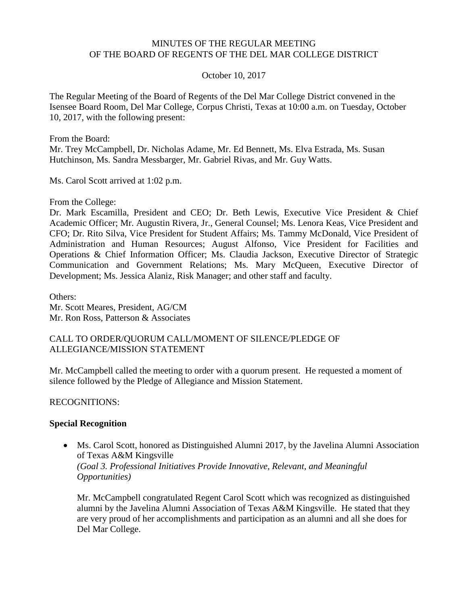#### MINUTES OF THE REGULAR MEETING OF THE BOARD OF REGENTS OF THE DEL MAR COLLEGE DISTRICT

#### October 10, 2017

The Regular Meeting of the Board of Regents of the Del Mar College District convened in the Isensee Board Room, Del Mar College, Corpus Christi, Texas at 10:00 a.m. on Tuesday, October 10, 2017, with the following present:

From the Board:

Mr. Trey McCampbell, Dr. Nicholas Adame, Mr. Ed Bennett, Ms. Elva Estrada, Ms. Susan Hutchinson, Ms. Sandra Messbarger, Mr. Gabriel Rivas, and Mr. Guy Watts.

Ms. Carol Scott arrived at 1:02 p.m.

From the College:

Dr. Mark Escamilla, President and CEO; Dr. Beth Lewis, Executive Vice President & Chief Academic Officer; Mr. Augustin Rivera, Jr., General Counsel; Ms. Lenora Keas, Vice President and CFO; Dr. Rito Silva, Vice President for Student Affairs; Ms. Tammy McDonald, Vice President of Administration and Human Resources; August Alfonso, Vice President for Facilities and Operations & Chief Information Officer; Ms. Claudia Jackson, Executive Director of Strategic Communication and Government Relations; Ms. Mary McQueen, Executive Director of Development; Ms. Jessica Alaniz, Risk Manager; and other staff and faculty.

Others: Mr. Scott Meares, President, AG/CM Mr. Ron Ross, Patterson & Associates

#### CALL TO ORDER/QUORUM CALL/MOMENT OF SILENCE/PLEDGE OF ALLEGIANCE/MISSION STATEMENT

Mr. McCampbell called the meeting to order with a quorum present. He requested a moment of silence followed by the Pledge of Allegiance and Mission Statement.

RECOGNITIONS:

#### **Special Recognition**

 Ms. Carol Scott, honored as Distinguished Alumni 2017, by the Javelina Alumni Association of Texas A&M Kingsville *(Goal 3. Professional Initiatives Provide Innovative, Relevant, and Meaningful Opportunities)*

Mr. McCampbell congratulated Regent Carol Scott which was recognized as distinguished alumni by the Javelina Alumni Association of Texas A&M Kingsville. He stated that they are very proud of her accomplishments and participation as an alumni and all she does for Del Mar College.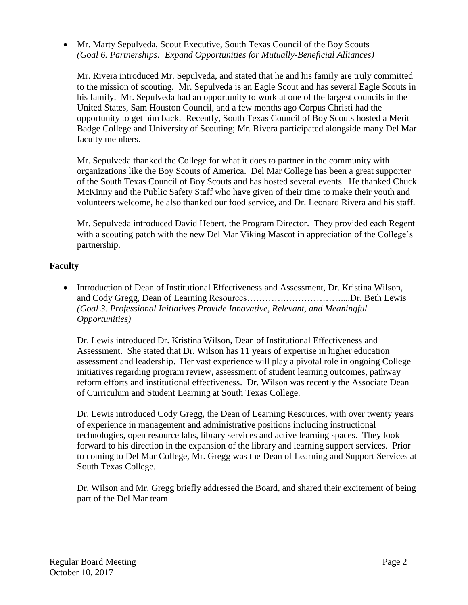Mr. Marty Sepulveda, Scout Executive, South Texas Council of the Boy Scouts *(Goal 6. Partnerships: Expand Opportunities for Mutually-Beneficial Alliances)*

Mr. Rivera introduced Mr. Sepulveda, and stated that he and his family are truly committed to the mission of scouting. Mr. Sepulveda is an Eagle Scout and has several Eagle Scouts in his family. Mr. Sepulveda had an opportunity to work at one of the largest councils in the United States, Sam Houston Council, and a few months ago Corpus Christi had the opportunity to get him back. Recently, South Texas Council of Boy Scouts hosted a Merit Badge College and University of Scouting; Mr. Rivera participated alongside many Del Mar faculty members.

Mr. Sepulveda thanked the College for what it does to partner in the community with organizations like the Boy Scouts of America. Del Mar College has been a great supporter of the South Texas Council of Boy Scouts and has hosted several events. He thanked Chuck McKinny and the Public Safety Staff who have given of their time to make their youth and volunteers welcome, he also thanked our food service, and Dr. Leonard Rivera and his staff.

Mr. Sepulveda introduced David Hebert, the Program Director. They provided each Regent with a scouting patch with the new Del Mar Viking Mascot in appreciation of the College's partnership.

## **Faculty**

 Introduction of Dean of Institutional Effectiveness and Assessment, Dr. Kristina Wilson, and Cody Gregg, Dean of Learning Resources………….………………....Dr. Beth Lewis *(Goal 3. Professional Initiatives Provide Innovative, Relevant, and Meaningful Opportunities)*

Dr. Lewis introduced Dr. Kristina Wilson, Dean of Institutional Effectiveness and Assessment. She stated that Dr. Wilson has 11 years of expertise in higher education assessment and leadership. Her vast experience will play a pivotal role in ongoing College initiatives regarding program review, assessment of student learning outcomes, pathway reform efforts and institutional effectiveness. Dr. Wilson was recently the Associate Dean of Curriculum and Student Learning at South Texas College.

Dr. Lewis introduced Cody Gregg, the Dean of Learning Resources, with over twenty years of experience in management and administrative positions including instructional technologies, open resource labs, library services and active learning spaces. They look forward to his direction in the expansion of the library and learning support services. Prior to coming to Del Mar College, Mr. Gregg was the Dean of Learning and Support Services at South Texas College.

Dr. Wilson and Mr. Gregg briefly addressed the Board, and shared their excitement of being part of the Del Mar team.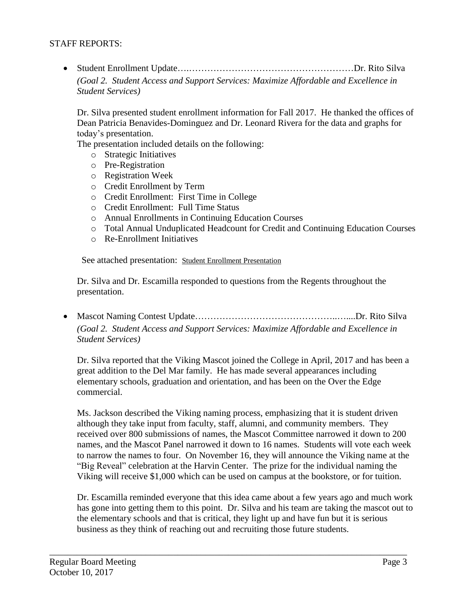#### STAFF REPORTS:

 Student Enrollment Update….………………………………………………Dr. Rito Silva *(Goal 2. Student Access and Support Services: Maximize Affordable and Excellence in Student Services)*

Dr. Silva presented student enrollment information for Fall 2017. He thanked the offices of Dean Patricia Benavides-Dominguez and Dr. Leonard Rivera for the data and graphs for today's presentation.

The presentation included details on the following:

- o Strategic Initiatives
- o Pre-Registration
- o Registration Week
- o Credit Enrollment by Term
- o Credit Enrollment: First Time in College
- o Credit Enrollment: Full Time Status
- o Annual Enrollments in Continuing Education Courses
- o Total Annual Unduplicated Headcount for Credit and Continuing Education Courses
- o Re-Enrollment Initiatives

See attached presentation: Student Enrollment [Presentation](http://www.delmar.edu/WorkArea/DownloadAsset.aspx?id=2147486121)

Dr. Silva and Dr. Escamilla responded to questions from the Regents throughout the presentation.

 Mascot Naming Contest Update………………………………………..…....Dr. Rito Silva *(Goal 2. Student Access and Support Services: Maximize Affordable and Excellence in Student Services)*

Dr. Silva reported that the Viking Mascot joined the College in April, 2017 and has been a great addition to the Del Mar family. He has made several appearances including elementary schools, graduation and orientation, and has been on the Over the Edge commercial.

Ms. Jackson described the Viking naming process, emphasizing that it is student driven although they take input from faculty, staff, alumni, and community members. They received over 800 submissions of names, the Mascot Committee narrowed it down to 200 names, and the Mascot Panel narrowed it down to 16 names. Students will vote each week to narrow the names to four. On November 16, they will announce the Viking name at the "Big Reveal" celebration at the Harvin Center. The prize for the individual naming the Viking will receive \$1,000 which can be used on campus at the bookstore, or for tuition.

Dr. Escamilla reminded everyone that this idea came about a few years ago and much work has gone into getting them to this point. Dr. Silva and his team are taking the mascot out to the elementary schools and that is critical, they light up and have fun but it is serious business as they think of reaching out and recruiting those future students.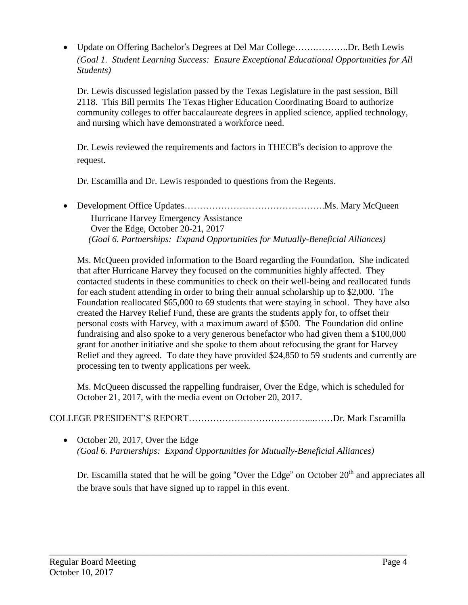Update on Offering Bachelor's Degrees at Del Mar College…….………..Dr. Beth Lewis *(Goal 1. Student Learning Success: Ensure Exceptional Educational Opportunities for All Students)*

Dr. Lewis discussed legislation passed by the Texas Legislature in the past session, Bill 2118. This Bill permits The Texas Higher Education Coordinating Board to authorize community colleges to offer baccalaureate degrees in applied science, applied technology, and nursing which have demonstrated a workforce need.

Dr. Lewis reviewed the requirements and factors in THECB"s decision to approve the request.

Dr. Escamilla and Dr. Lewis responded to questions from the Regents.

• Development Office Updates………………………………………………Ms. Mary McQueen Hurricane Harvey Emergency Assistance Over the Edge, October 20-21, 2017  *(Goal 6. Partnerships: Expand Opportunities for Mutually-Beneficial Alliances)*

Ms. McQueen provided information to the Board regarding the Foundation. She indicated that after Hurricane Harvey they focused on the communities highly affected. They contacted students in these communities to check on their well-being and reallocated funds for each student attending in order to bring their annual scholarship up to \$2,000. The Foundation reallocated \$65,000 to 69 students that were staying in school. They have also created the Harvey Relief Fund, these are grants the students apply for, to offset their personal costs with Harvey, with a maximum award of \$500. The Foundation did online fundraising and also spoke to a very generous benefactor who had given them a \$100,000 grant for another initiative and she spoke to them about refocusing the grant for Harvey Relief and they agreed. To date they have provided \$24,850 to 59 students and currently are processing ten to twenty applications per week.

Ms. McQueen discussed the rappelling fundraiser, Over the Edge, which is scheduled for October 21, 2017, with the media event on October 20, 2017.

# COLLEGE PRESIDENT'S REPORT…………………………………...……Dr. Mark Escamilla

\_\_\_\_\_\_\_\_\_\_\_\_\_\_\_\_\_\_\_\_\_\_\_\_\_\_\_\_\_\_\_\_\_\_\_\_\_\_\_\_\_\_\_\_\_\_\_\_\_\_\_\_\_\_\_\_\_\_\_\_\_\_\_\_\_\_\_\_\_\_\_\_\_\_\_\_\_\_

• October 20, 2017, Over the Edge *(Goal 6. Partnerships: Expand Opportunities for Mutually-Beneficial Alliances)*

Dr. Escamilla stated that he will be going "Over the Edge" on October  $20<sup>th</sup>$  and appreciates all the brave souls that have signed up to rappel in this event.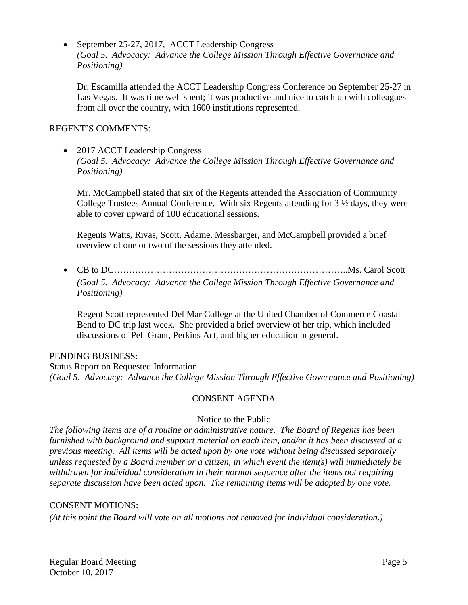• September 25-27, 2017, ACCT Leadership Congress *(Goal 5. Advocacy: Advance the College Mission Through Effective Governance and Positioning)*

Dr. Escamilla attended the ACCT Leadership Congress Conference on September 25-27 in Las Vegas. It was time well spent; it was productive and nice to catch up with colleagues from all over the country, with 1600 institutions represented.

### REGENT'S COMMENTS:

• 2017 ACCT Leadership Congress *(Goal 5. Advocacy: Advance the College Mission Through Effective Governance and Positioning)*

Mr. McCampbell stated that six of the Regents attended the Association of Community College Trustees Annual Conference. With six Regents attending for 3 ½ days, they were able to cover upward of 100 educational sessions.

Regents Watts, Rivas, Scott, Adame, Messbarger, and McCampbell provided a brief overview of one or two of the sessions they attended.

 CB to DC…………………………………………………………………..Ms. Carol Scott *(Goal 5. Advocacy: Advance the College Mission Through Effective Governance and Positioning)*

Regent Scott represented Del Mar College at the United Chamber of Commerce Coastal Bend to DC trip last week. She provided a brief overview of her trip, which included discussions of Pell Grant, Perkins Act, and higher education in general.

### PENDING BUSINESS:

Status Report on Requested Information *(Goal 5. Advocacy: Advance the College Mission Through Effective Governance and Positioning)*

### CONSENT AGENDA

### Notice to the Public

*The following items are of a routine or administrative nature. The Board of Regents has been furnished with background and support material on each item, and/or it has been discussed at a previous meeting. All items will be acted upon by one vote without being discussed separately unless requested by a Board member or a citizen, in which event the item(s) will immediately be withdrawn for individual consideration in their normal sequence after the items not requiring separate discussion have been acted upon. The remaining items will be adopted by one vote.*

### CONSENT MOTIONS:

*(At this point the Board will vote on all motions not removed for individual consideration.)*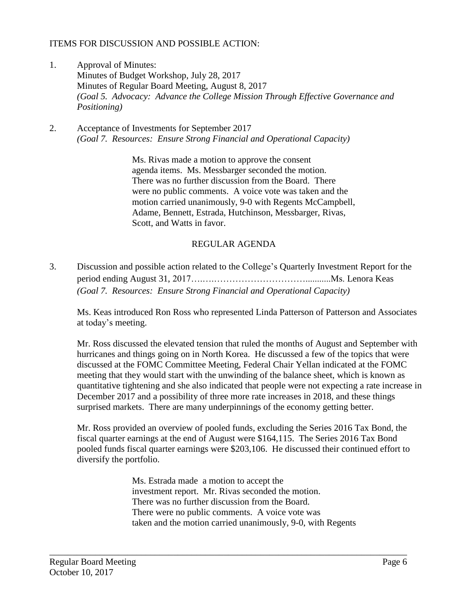#### ITEMS FOR DISCUSSION AND POSSIBLE ACTION:

- 1. Approval of Minutes: Minutes of Budget Workshop, July 28, 2017 Minutes of Regular Board Meeting, August 8, 2017 *(Goal 5. Advocacy: Advance the College Mission Through Effective Governance and Positioning)*
- 2. Acceptance of Investments for September 2017 *(Goal 7. Resources: Ensure Strong Financial and Operational Capacity)*

Ms. Rivas made a motion to approve the consent agenda items. Ms. Messbarger seconded the motion. There was no further discussion from the Board. There were no public comments. A voice vote was taken and the motion carried unanimously, 9-0 with Regents McCampbell, Adame, Bennett, Estrada, Hutchinson, Messbarger, Rivas, Scott, and Watts in favor.

#### REGULAR AGENDA

3. Discussion and possible action related to the College's Quarterly Investment Report for the period ending August 31, 2017….….…………………………...........Ms. Lenora Keas *(Goal 7. Resources: Ensure Strong Financial and Operational Capacity)*

Ms. Keas introduced Ron Ross who represented Linda Patterson of Patterson and Associates at today's meeting.

Mr. Ross discussed the elevated tension that ruled the months of August and September with hurricanes and things going on in North Korea. He discussed a few of the topics that were discussed at the FOMC Committee Meeting, Federal Chair Yellan indicated at the FOMC meeting that they would start with the unwinding of the balance sheet, which is known as quantitative tightening and she also indicated that people were not expecting a rate increase in December 2017 and a possibility of three more rate increases in 2018, and these things surprised markets. There are many underpinnings of the economy getting better.

Mr. Ross provided an overview of pooled funds, excluding the Series 2016 Tax Bond, the fiscal quarter earnings at the end of August were \$164,115. The Series 2016 Tax Bond pooled funds fiscal quarter earnings were \$203,106. He discussed their continued effort to diversify the portfolio.

> Ms. Estrada made a motion to accept the investment report. Mr. Rivas seconded the motion. There was no further discussion from the Board. There were no public comments. A voice vote was taken and the motion carried unanimously, 9-0, with Regents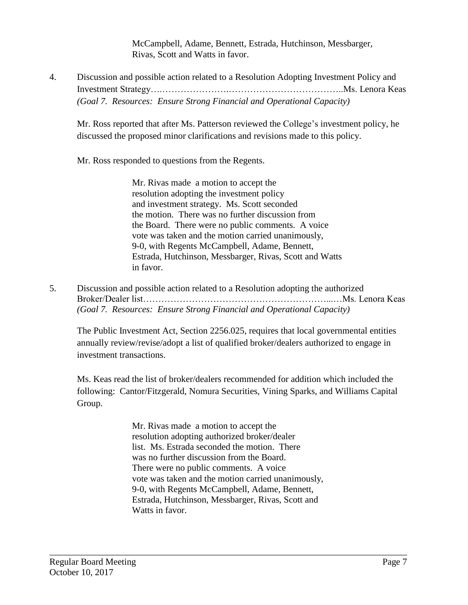McCampbell, Adame, Bennett, Estrada, Hutchinson, Messbarger, Rivas, Scott and Watts in favor.

4. Discussion and possible action related to a Resolution Adopting Investment Policy and Investment Strategy….………………….………………………………..Ms. Lenora Keas *(Goal 7. Resources: Ensure Strong Financial and Operational Capacity)*

Mr. Ross reported that after Ms. Patterson reviewed the College's investment policy, he discussed the proposed minor clarifications and revisions made to this policy.

Mr. Ross responded to questions from the Regents.

Mr. Rivas made a motion to accept the resolution adopting the investment policy and investment strategy. Ms. Scott seconded the motion. There was no further discussion from the Board. There were no public comments. A voice vote was taken and the motion carried unanimously, 9-0, with Regents McCampbell, Adame, Bennett, Estrada, Hutchinson, Messbarger, Rivas, Scott and Watts in favor.

5. Discussion and possible action related to a Resolution adopting the authorized Broker/Dealer list……………………………………………………...…Ms. Lenora Keas *(Goal 7. Resources: Ensure Strong Financial and Operational Capacity)*

The Public Investment Act, Section 2256.025, requires that local governmental entities annually review/revise/adopt a list of qualified broker/dealers authorized to engage in investment transactions.

Ms. Keas read the list of broker/dealers recommended for addition which included the following: Cantor/Fitzgerald, Nomura Securities, Vining Sparks, and Williams Capital Group.

> Mr. Rivas made a motion to accept the resolution adopting authorized broker/dealer list. Ms. Estrada seconded the motion. There was no further discussion from the Board. There were no public comments. A voice vote was taken and the motion carried unanimously, 9-0, with Regents McCampbell, Adame, Bennett, Estrada, Hutchinson, Messbarger, Rivas, Scott and Watts in favor.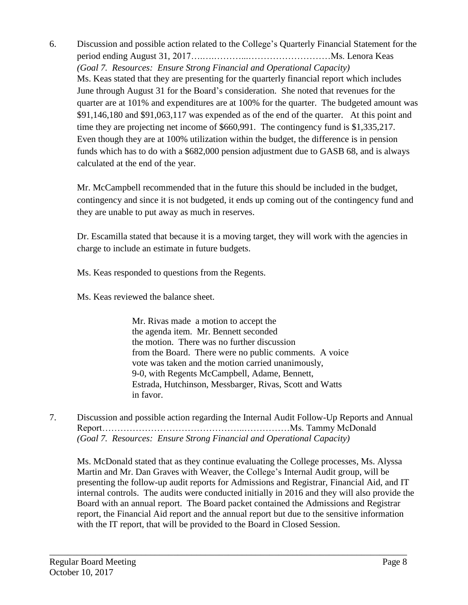6. Discussion and possible action related to the College's Quarterly Financial Statement for the period ending August 31, 2017….….………...………………………Ms. Lenora Keas *(Goal 7. Resources: Ensure Strong Financial and Operational Capacity)* Ms. Keas stated that they are presenting for the quarterly financial report which includes June through August 31 for the Board's consideration. She noted that revenues for the quarter are at 101% and expenditures are at 100% for the quarter. The budgeted amount was \$91,146,180 and \$91,063,117 was expended as of the end of the quarter. At this point and time they are projecting net income of \$660,991. The contingency fund is \$1,335,217. Even though they are at 100% utilization within the budget, the difference is in pension funds which has to do with a \$682,000 pension adjustment due to GASB 68, and is always calculated at the end of the year.

Mr. McCampbell recommended that in the future this should be included in the budget, contingency and since it is not budgeted, it ends up coming out of the contingency fund and they are unable to put away as much in reserves.

Dr. Escamilla stated that because it is a moving target, they will work with the agencies in charge to include an estimate in future budgets.

Ms. Keas responded to questions from the Regents.

Ms. Keas reviewed the balance sheet.

Mr. Rivas made a motion to accept the the agenda item. Mr. Bennett seconded the motion. There was no further discussion from the Board. There were no public comments. A voice vote was taken and the motion carried unanimously, 9-0, with Regents McCampbell, Adame, Bennett, Estrada, Hutchinson, Messbarger, Rivas, Scott and Watts in favor.

7. Discussion and possible action regarding the Internal Audit Follow-Up Reports and Annual Report………………………………………..……………Ms. Tammy McDonald *(Goal 7. Resources: Ensure Strong Financial and Operational Capacity)*

\_\_\_\_\_\_\_\_\_\_\_\_\_\_\_\_\_\_\_\_\_\_\_\_\_\_\_\_\_\_\_\_\_\_\_\_\_\_\_\_\_\_\_\_\_\_\_\_\_\_\_\_\_\_\_\_\_\_\_\_\_\_\_\_\_\_\_\_\_\_\_\_\_\_\_\_\_\_

Ms. McDonald stated that as they continue evaluating the College processes, Ms. Alyssa Martin and Mr. Dan Graves with Weaver, the College's Internal Audit group, will be presenting the follow-up audit reports for Admissions and Registrar, Financial Aid, and IT internal controls. The audits were conducted initially in 2016 and they will also provide the Board with an annual report. The Board packet contained the Admissions and Registrar report, the Financial Aid report and the annual report but due to the sensitive information with the IT report, that will be provided to the Board in Closed Session.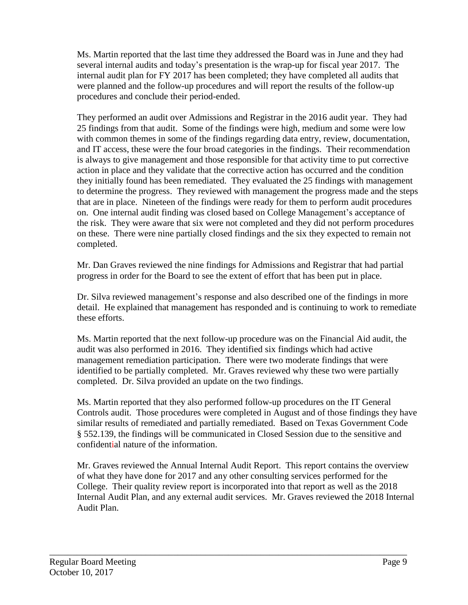Ms. Martin reported that the last time they addressed the Board was in June and they had several internal audits and today's presentation is the wrap-up for fiscal year 2017. The internal audit plan for FY 2017 has been completed; they have completed all audits that were planned and the follow-up procedures and will report the results of the follow-up procedures and conclude their period-ended.

They performed an audit over Admissions and Registrar in the 2016 audit year. They had 25 findings from that audit. Some of the findings were high, medium and some were low with common themes in some of the findings regarding data entry, review, documentation, and IT access, these were the four broad categories in the findings. Their recommendation is always to give management and those responsible for that activity time to put corrective action in place and they validate that the corrective action has occurred and the condition they initially found has been remediated. They evaluated the 25 findings with management to determine the progress. They reviewed with management the progress made and the steps that are in place. Nineteen of the findings were ready for them to perform audit procedures on. One internal audit finding was closed based on College Management's acceptance of the risk. They were aware that six were not completed and they did not perform procedures on these. There were nine partially closed findings and the six they expected to remain not completed.

Mr. Dan Graves reviewed the nine findings for Admissions and Registrar that had partial progress in order for the Board to see the extent of effort that has been put in place.

Dr. Silva reviewed management's response and also described one of the findings in more detail. He explained that management has responded and is continuing to work to remediate these efforts.

Ms. Martin reported that the next follow-up procedure was on the Financial Aid audit, the audit was also performed in 2016. They identified six findings which had active management remediation participation. There were two moderate findings that were identified to be partially completed. Mr. Graves reviewed why these two were partially completed. Dr. Silva provided an update on the two findings.

Ms. Martin reported that they also performed follow-up procedures on the IT General Controls audit. Those procedures were completed in August and of those findings they have similar results of remediated and partially remediated. Based on Texas Government Code § 552.139, the findings will be communicated in Closed Session due to the sensitive and confidential nature of the information.

Mr. Graves reviewed the Annual Internal Audit Report. This report contains the overview of what they have done for 2017 and any other consulting services performed for the College. Their quality review report is incorporated into that report as well as the 2018 Internal Audit Plan, and any external audit services. Mr. Graves reviewed the 2018 Internal Audit Plan.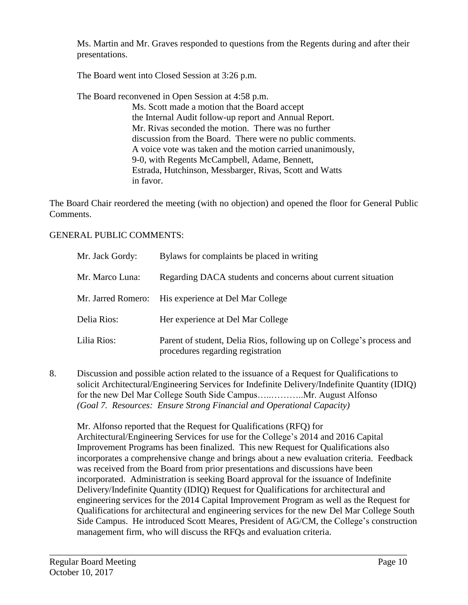Ms. Martin and Mr. Graves responded to questions from the Regents during and after their presentations.

The Board went into Closed Session at 3:26 p.m.

The Board reconvened in Open Session at 4:58 p.m.

Ms. Scott made a motion that the Board accept the Internal Audit follow-up report and Annual Report. Mr. Rivas seconded the motion. There was no further discussion from the Board. There were no public comments. A voice vote was taken and the motion carried unanimously, 9-0, with Regents McCampbell, Adame, Bennett, Estrada, Hutchinson, Messbarger, Rivas, Scott and Watts in favor.

The Board Chair reordered the meeting (with no objection) and opened the floor for General Public Comments.

### GENERAL PUBLIC COMMENTS:

| Mr. Jack Gordy: | Bylaws for complaints be placed in writing                                                                |
|-----------------|-----------------------------------------------------------------------------------------------------------|
| Mr. Marco Luna: | Regarding DACA students and concerns about current situation                                              |
|                 | Mr. Jarred Romero: His experience at Del Mar College                                                      |
| Delia Rios:     | Her experience at Del Mar College                                                                         |
| Lilia Rios:     | Parent of student, Delia Rios, following up on College's process and<br>procedures regarding registration |

8. Discussion and possible action related to the issuance of a Request for Qualifications to solicit Architectural/Engineering Services for Indefinite Delivery/Indefinite Quantity (IDIQ) for the new Del Mar College South Side Campus…..………..Mr. August Alfonso *(Goal 7. Resources: Ensure Strong Financial and Operational Capacity)*

Mr. Alfonso reported that the Request for Qualifications (RFQ) for Architectural/Engineering Services for use for the College's 2014 and 2016 Capital Improvement Programs has been finalized. This new Request for Qualifications also incorporates a comprehensive change and brings about a new evaluation criteria. Feedback was received from the Board from prior presentations and discussions have been incorporated. Administration is seeking Board approval for the issuance of Indefinite Delivery/Indefinite Quantity (IDIQ) Request for Qualifications for architectural and engineering services for the 2014 Capital Improvement Program as well as the Request for Qualifications for architectural and engineering services for the new Del Mar College South Side Campus. He introduced Scott Meares, President of AG/CM, the College's construction management firm, who will discuss the RFQs and evaluation criteria.